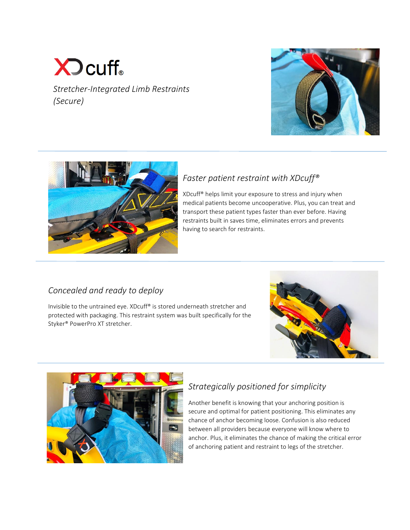# $\sum$  cuff. *Stretcher-Integrated Limb Restraints (Secure)*





## *Faster patient restraint with XDcuff®*

XDcuff® helps limit your exposure to stress and injury when medical patients become uncooperative. Plus, you can treat and transport these patient types faster than ever before. Having restraints built in saves time, eliminates errors and prevents having to search for restraints.

## *Concealed and ready to deploy*

Invisible to the untrained eye. XDcuff® is stored underneath stretcher and protected with packaging. This restraint system was built specifically for the Styker® PowerPro XT stretcher.





# *Strategically positioned for simplicity*

Another benefit is knowing that your anchoring position is secure and optimal for patient positioning. This eliminates any chance of anchor becoming loose. Confusion is also reduced between all providers because everyone will know where to anchor. Plus, it eliminates the chance of making the critical error of anchoring patient and restraint to legs of the stretcher.